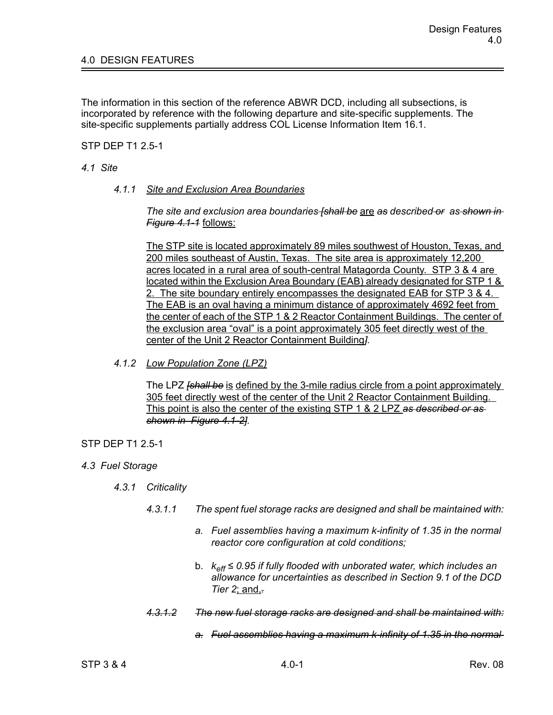The information in this section of the reference ABWR DCD, including all subsections, is incorporated by reference with the following departure and site-specific supplements. The site-specific supplements partially address COL License Information Item 16.1.

STP DEP T1 2.5-1

## *4.1 Site*

*4.1.1 Site and Exclusion Area Boundaries*

*The site and exclusion area boundaries [shall be* are *as described or as shown in Figure 4.1-1* follows:

The STP site is located approximately 89 miles southwest of Houston, Texas, and 200 miles southeast of Austin, Texas. The site area is approximately 12,200 acres located in a rural area of south-central Matagorda County. STP 3 & 4 are located within the Exclusion Area Boundary (EAB) already designated for STP 1 & 2. The site boundary entirely encompasses the designated EAB for STP 3 & 4. The EAB is an oval having a minimum distance of approximately 4692 feet from the center of each of the STP 1 & 2 Reactor Containment Buildings. The center of the exclusion area "oval" is a point approximately 305 feet directly west of the center of the Unit 2 Reactor Containment Building*].*

*4.1.2 Low Population Zone (LPZ)*

The LPZ *[shall be* is defined by the 3-mile radius circle from a point approximately 305 feet directly west of the center of the Unit 2 Reactor Containment Building. This point is also the center of the existing STP 1 & 2 LPZ *as described or as shown in Figure 4.1-2].*

## STP DEP T1 2.5-1

- *4.3 Fuel Storage*
	- *4.3.1 Criticality*
		- *4.3.1.1 The spent fuel storage racks are designed and shall be maintained with:*
			- *a. Fuel assemblies having a maximum k-infinity of 1.35 in the normal reactor core configuration at cold conditions;*
			- b. *keff ≤ 0.95 if fully flooded with unborated water, which includes an allowance for uncertainties as described in Section 9.1 of the DCD Tier 2*; and,*.*
		- *4.3.1.2 The new fuel storage racks are designed and shall be maintained with:*
			- *a. Fuel assemblies having a maximum k-infinity of 1.35 in the normal*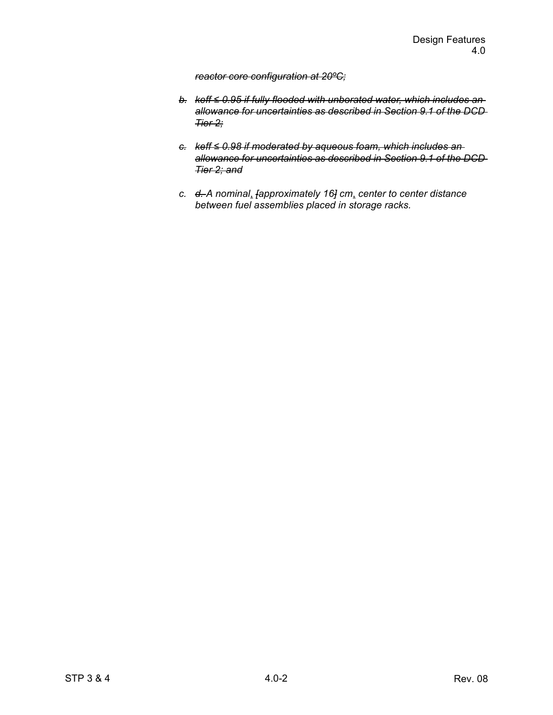## *reactor core configuration at 20ºC;*

- *b. keff ≤ 0.95 if fully flooded with unborated water, which includes an allowance for uncertainties as described in Section 9.1 of the DCD Tier 2;*
- *c. keff ≤ 0.98 if moderated by aqueous foam, which includes an allowance for uncertainties as described in Section 9.1 of the DCD Tier 2; and*
- *c. d. A nominal*, *[approximately 16] cm*, *center to center distance between fuel assemblies placed in storage racks.*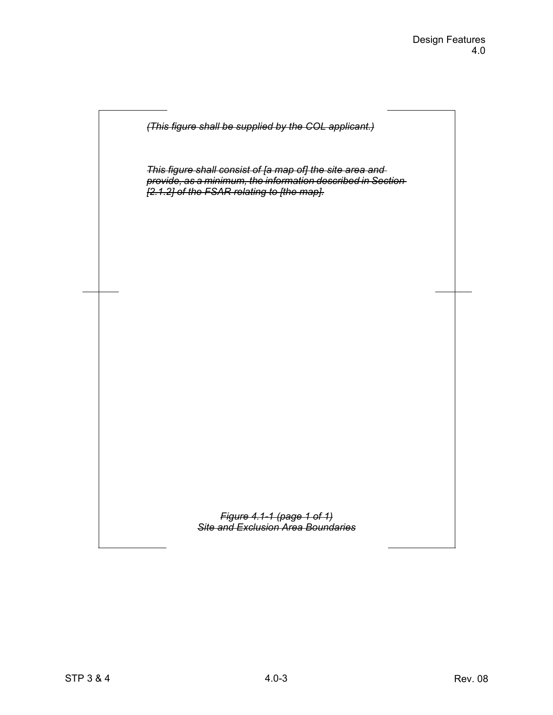

*This figure shall consist of [a map of] the site area and provide, as a minimum, the information described in Section [2.1.2] of the FSAR relating to [the map].*

> *Figure 4.1-1 (page 1 of 1) Site and Exclusion Area Boundaries*